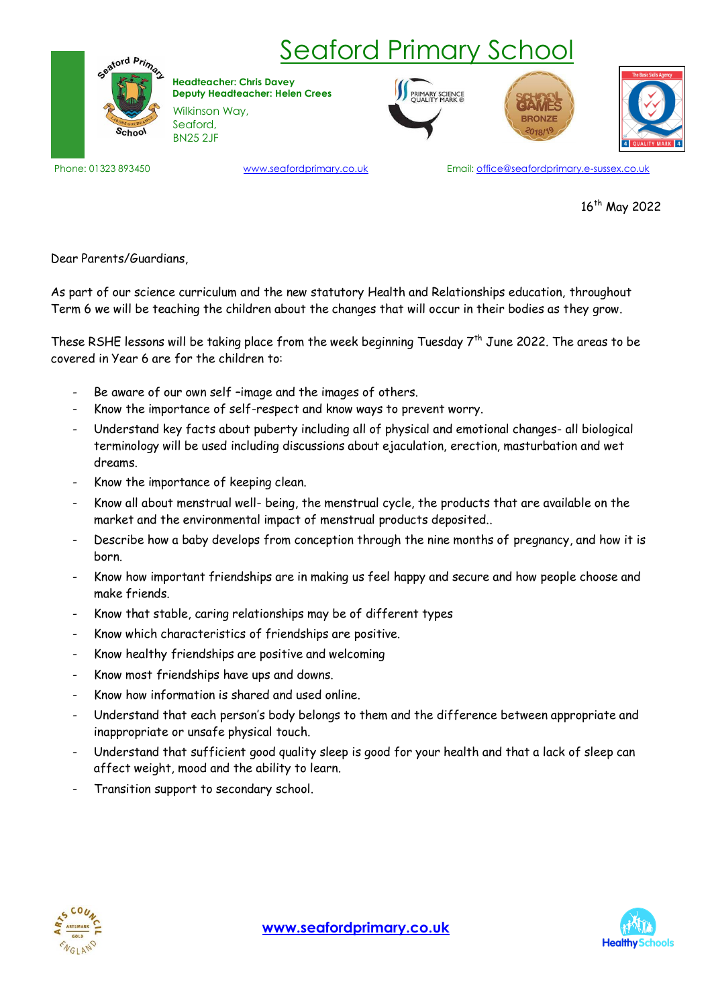

## Seaford Primary School

Wilkinson Way, Seaford, **Headteacher: Chris Davey Deputy Headteacher: Helen Crees**

BN25 2JF







www.seafordprimary.co.uk

Phone: 01323 893450 **Email: office@seafordprimary.co.uk** Email: office@seafordprimary.e-sussex.co.uk

16<sup>th</sup> May 2022

Dear Parents/Guardians,

As part of our science curriculum and the new statutory Health and Relationships education, throughout Term 6 we will be teaching the children about the changes that will occur in their bodies as they grow.

These RSHE lessons will be taking place from the week beginning Tuesday 7<sup>th</sup> June 2022. The areas to be covered in Year 6 are for the children to:

- Be aware of our own self -image and the images of others.
- Know the importance of self-respect and know ways to prevent worry.
- Understand key facts about puberty including all of physical and emotional changes- all biological terminology will be used including discussions about ejaculation, erection, masturbation and wet dreams.
- Know the importance of keeping clean.
- Know all about menstrual well- being, the menstrual cycle, the products that are available on the market and the environmental impact of menstrual products deposited..
- Describe how a baby develops from conception through the nine months of pregnancy, and how it is born.
- Know how important friendships are in making us feel happy and secure and how people choose and make friends.
- Know that stable, caring relationships may be of different types
- Know which characteristics of friendships are positive.
- Know healthy friendships are positive and welcoming
- Know most friendships have ups and downs.
- Know how information is shared and used online.
- Understand that each person's body belongs to them and the difference between appropriate and inappropriate or unsafe physical touch.
- Understand that sufficient good quality sleep is good for your health and that a lack of sleep can affect weight, mood and the ability to learn.
- Transition support to secondary school.